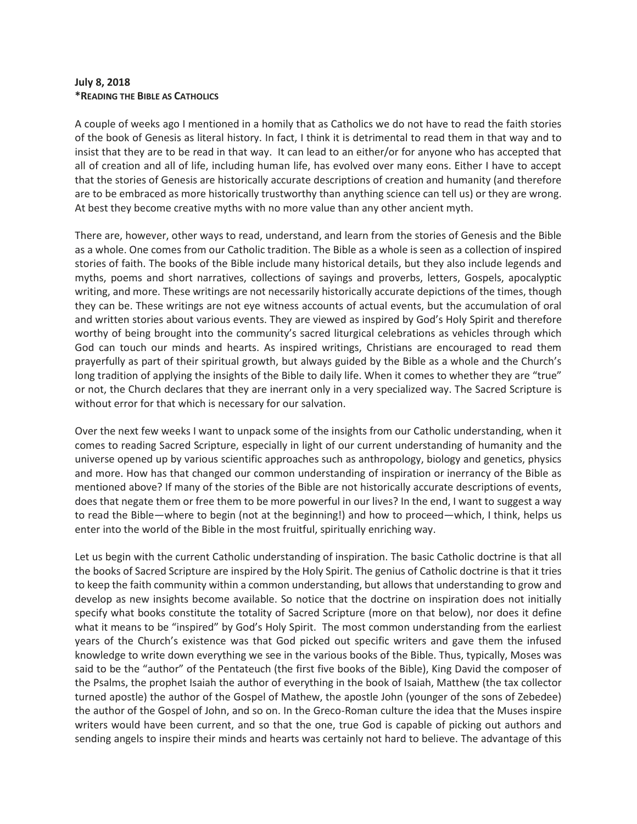## **July 8, 2018 \*READING THE BIBLE AS CATHOLICS**

A couple of weeks ago I mentioned in a homily that as Catholics we do not have to read the faith stories of the book of Genesis as literal history. In fact, I think it is detrimental to read them in that way and to insist that they are to be read in that way. It can lead to an either/or for anyone who has accepted that all of creation and all of life, including human life, has evolved over many eons. Either I have to accept that the stories of Genesis are historically accurate descriptions of creation and humanity (and therefore are to be embraced as more historically trustworthy than anything science can tell us) or they are wrong. At best they become creative myths with no more value than any other ancient myth.

There are, however, other ways to read, understand, and learn from the stories of Genesis and the Bible as a whole. One comes from our Catholic tradition. The Bible as a whole is seen as a collection of inspired stories of faith. The books of the Bible include many historical details, but they also include legends and myths, poems and short narratives, collections of sayings and proverbs, letters, Gospels, apocalyptic writing, and more. These writings are not necessarily historically accurate depictions of the times, though they can be. These writings are not eye witness accounts of actual events, but the accumulation of oral and written stories about various events. They are viewed as inspired by God's Holy Spirit and therefore worthy of being brought into the community's sacred liturgical celebrations as vehicles through which God can touch our minds and hearts. As inspired writings, Christians are encouraged to read them prayerfully as part of their spiritual growth, but always guided by the Bible as a whole and the Church's long tradition of applying the insights of the Bible to daily life. When it comes to whether they are "true" or not, the Church declares that they are inerrant only in a very specialized way. The Sacred Scripture is without error for that which is necessary for our salvation.

Over the next few weeks I want to unpack some of the insights from our Catholic understanding, when it comes to reading Sacred Scripture, especially in light of our current understanding of humanity and the universe opened up by various scientific approaches such as anthropology, biology and genetics, physics and more. How has that changed our common understanding of inspiration or inerrancy of the Bible as mentioned above? If many of the stories of the Bible are not historically accurate descriptions of events, does that negate them or free them to be more powerful in our lives? In the end, I want to suggest a way to read the Bible—where to begin (not at the beginning!) and how to proceed—which, I think, helps us enter into the world of the Bible in the most fruitful, spiritually enriching way.

Let us begin with the current Catholic understanding of inspiration. The basic Catholic doctrine is that all the books of Sacred Scripture are inspired by the Holy Spirit. The genius of Catholic doctrine is that it tries to keep the faith community within a common understanding, but allows that understanding to grow and develop as new insights become available. So notice that the doctrine on inspiration does not initially specify what books constitute the totality of Sacred Scripture (more on that below), nor does it define what it means to be "inspired" by God's Holy Spirit. The most common understanding from the earliest years of the Church's existence was that God picked out specific writers and gave them the infused knowledge to write down everything we see in the various books of the Bible. Thus, typically, Moses was said to be the "author" of the Pentateuch (the first five books of the Bible), King David the composer of the Psalms, the prophet Isaiah the author of everything in the book of Isaiah, Matthew (the tax collector turned apostle) the author of the Gospel of Mathew, the apostle John (younger of the sons of Zebedee) the author of the Gospel of John, and so on. In the Greco-Roman culture the idea that the Muses inspire writers would have been current, and so that the one, true God is capable of picking out authors and sending angels to inspire their minds and hearts was certainly not hard to believe. The advantage of this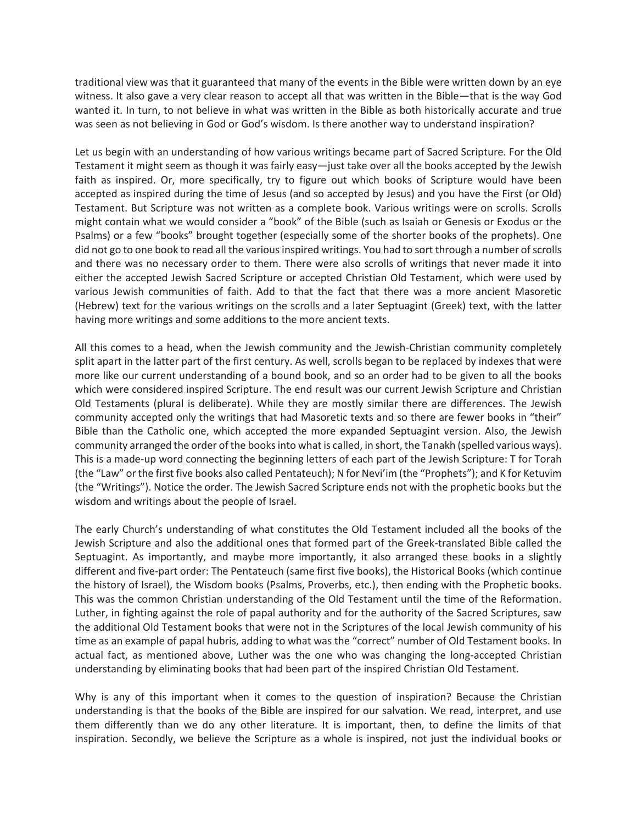traditional view was that it guaranteed that many of the events in the Bible were written down by an eye witness. It also gave a very clear reason to accept all that was written in the Bible—that is the way God wanted it. In turn, to not believe in what was written in the Bible as both historically accurate and true was seen as not believing in God or God's wisdom. Is there another way to understand inspiration?

Let us begin with an understanding of how various writings became part of Sacred Scripture. For the Old Testament it might seem as though it was fairly easy—just take over all the books accepted by the Jewish faith as inspired. Or, more specifically, try to figure out which books of Scripture would have been accepted as inspired during the time of Jesus (and so accepted by Jesus) and you have the First (or Old) Testament. But Scripture was not written as a complete book. Various writings were on scrolls. Scrolls might contain what we would consider a "book" of the Bible (such as Isaiah or Genesis or Exodus or the Psalms) or a few "books" brought together (especially some of the shorter books of the prophets). One did not go to one book to read all the various inspired writings. You had to sort through a number of scrolls and there was no necessary order to them. There were also scrolls of writings that never made it into either the accepted Jewish Sacred Scripture or accepted Christian Old Testament, which were used by various Jewish communities of faith. Add to that the fact that there was a more ancient Masoretic (Hebrew) text for the various writings on the scrolls and a later Septuagint (Greek) text, with the latter having more writings and some additions to the more ancient texts.

All this comes to a head, when the Jewish community and the Jewish-Christian community completely split apart in the latter part of the first century. As well, scrolls began to be replaced by indexes that were more like our current understanding of a bound book, and so an order had to be given to all the books which were considered inspired Scripture. The end result was our current Jewish Scripture and Christian Old Testaments (plural is deliberate). While they are mostly similar there are differences. The Jewish community accepted only the writings that had Masoretic texts and so there are fewer books in "their" Bible than the Catholic one, which accepted the more expanded Septuagint version. Also, the Jewish community arranged the order of the books into what is called, in short, the Tanakh (spelled various ways). This is a made-up word connecting the beginning letters of each part of the Jewish Scripture: T for Torah (the "Law" or the first five books also called Pentateuch); N for Nevi'im (the "Prophets"); and K for Ketuvim (the "Writings"). Notice the order. The Jewish Sacred Scripture ends not with the prophetic books but the wisdom and writings about the people of Israel.

The early Church's understanding of what constitutes the Old Testament included all the books of the Jewish Scripture and also the additional ones that formed part of the Greek-translated Bible called the Septuagint. As importantly, and maybe more importantly, it also arranged these books in a slightly different and five-part order: The Pentateuch (same first five books), the Historical Books (which continue the history of Israel), the Wisdom books (Psalms, Proverbs, etc.), then ending with the Prophetic books. This was the common Christian understanding of the Old Testament until the time of the Reformation. Luther, in fighting against the role of papal authority and for the authority of the Sacred Scriptures, saw the additional Old Testament books that were not in the Scriptures of the local Jewish community of his time as an example of papal hubris, adding to what was the "correct" number of Old Testament books. In actual fact, as mentioned above, Luther was the one who was changing the long-accepted Christian understanding by eliminating books that had been part of the inspired Christian Old Testament.

Why is any of this important when it comes to the question of inspiration? Because the Christian understanding is that the books of the Bible are inspired for our salvation. We read, interpret, and use them differently than we do any other literature. It is important, then, to define the limits of that inspiration. Secondly, we believe the Scripture as a whole is inspired, not just the individual books or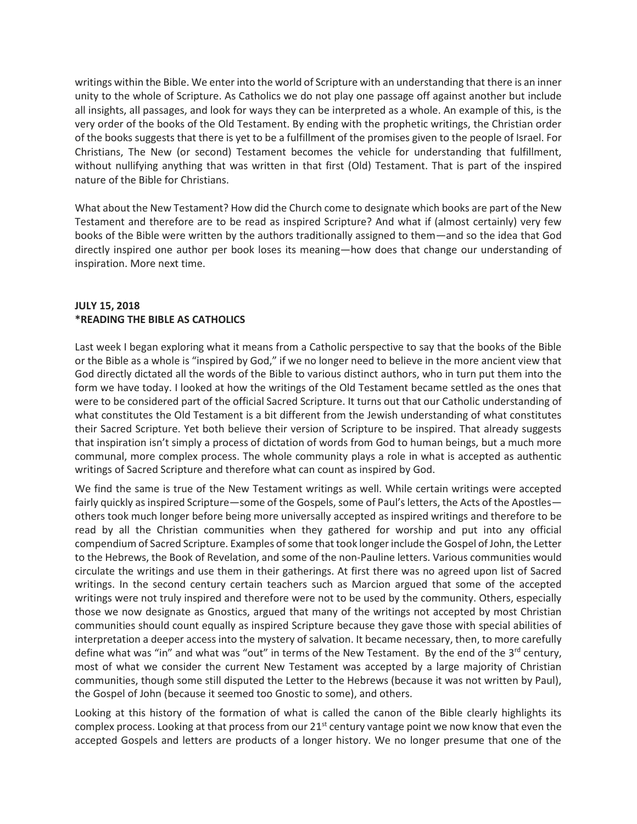writings within the Bible. We enter into the world of Scripture with an understanding that there is an inner unity to the whole of Scripture. As Catholics we do not play one passage off against another but include all insights, all passages, and look for ways they can be interpreted as a whole. An example of this, is the very order of the books of the Old Testament. By ending with the prophetic writings, the Christian order of the books suggests that there is yet to be a fulfillment of the promises given to the people of Israel. For Christians, The New (or second) Testament becomes the vehicle for understanding that fulfillment, without nullifying anything that was written in that first (Old) Testament. That is part of the inspired nature of the Bible for Christians.

What about the New Testament? How did the Church come to designate which books are part of the New Testament and therefore are to be read as inspired Scripture? And what if (almost certainly) very few books of the Bible were written by the authors traditionally assigned to them—and so the idea that God directly inspired one author per book loses its meaning—how does that change our understanding of inspiration. More next time.

## **JULY 15, 2018 \*READING THE BIBLE AS CATHOLICS**

Last week I began exploring what it means from a Catholic perspective to say that the books of the Bible or the Bible as a whole is "inspired by God," if we no longer need to believe in the more ancient view that God directly dictated all the words of the Bible to various distinct authors, who in turn put them into the form we have today. I looked at how the writings of the Old Testament became settled as the ones that were to be considered part of the official Sacred Scripture. It turns out that our Catholic understanding of what constitutes the Old Testament is a bit different from the Jewish understanding of what constitutes their Sacred Scripture. Yet both believe their version of Scripture to be inspired. That already suggests that inspiration isn't simply a process of dictation of words from God to human beings, but a much more communal, more complex process. The whole community plays a role in what is accepted as authentic writings of Sacred Scripture and therefore what can count as inspired by God.

We find the same is true of the New Testament writings as well. While certain writings were accepted fairly quickly as inspired Scripture—some of the Gospels, some of Paul's letters, the Acts of the Apostles others took much longer before being more universally accepted as inspired writings and therefore to be read by all the Christian communities when they gathered for worship and put into any official compendium of Sacred Scripture. Examples of some that took longer include the Gospel of John, the Letter to the Hebrews, the Book of Revelation, and some of the non-Pauline letters. Various communities would circulate the writings and use them in their gatherings. At first there was no agreed upon list of Sacred writings. In the second century certain teachers such as Marcion argued that some of the accepted writings were not truly inspired and therefore were not to be used by the community. Others, especially those we now designate as Gnostics, argued that many of the writings not accepted by most Christian communities should count equally as inspired Scripture because they gave those with special abilities of interpretation a deeper access into the mystery of salvation. It became necessary, then, to more carefully define what was "in" and what was "out" in terms of the New Testament. By the end of the 3<sup>rd</sup> century, most of what we consider the current New Testament was accepted by a large majority of Christian communities, though some still disputed the Letter to the Hebrews (because it was not written by Paul), the Gospel of John (because it seemed too Gnostic to some), and others.

Looking at this history of the formation of what is called the canon of the Bible clearly highlights its complex process. Looking at that process from our 21<sup>st</sup> century vantage point we now know that even the accepted Gospels and letters are products of a longer history. We no longer presume that one of the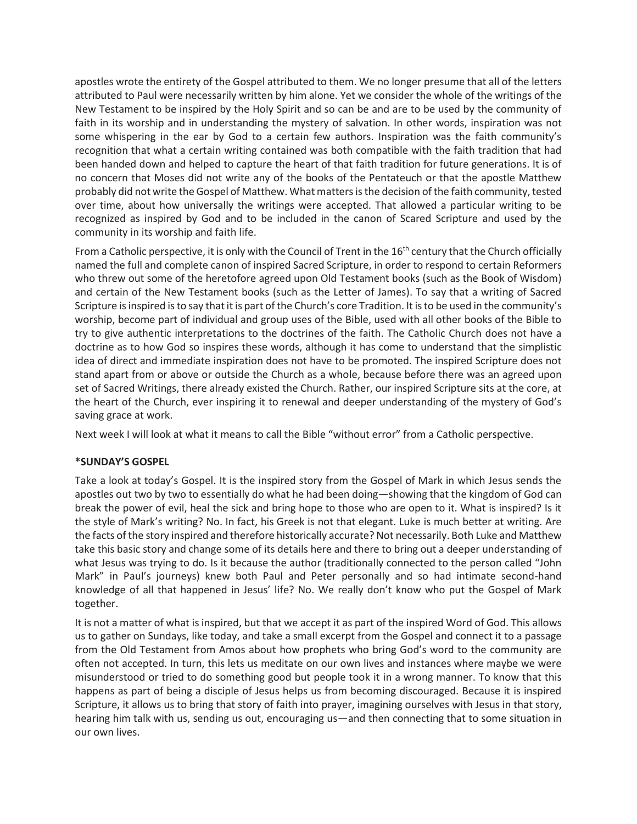apostles wrote the entirety of the Gospel attributed to them. We no longer presume that all of the letters attributed to Paul were necessarily written by him alone. Yet we consider the whole of the writings of the New Testament to be inspired by the Holy Spirit and so can be and are to be used by the community of faith in its worship and in understanding the mystery of salvation. In other words, inspiration was not some whispering in the ear by God to a certain few authors. Inspiration was the faith community's recognition that what a certain writing contained was both compatible with the faith tradition that had been handed down and helped to capture the heart of that faith tradition for future generations. It is of no concern that Moses did not write any of the books of the Pentateuch or that the apostle Matthew probably did not write the Gospel of Matthew. What matters is the decision of the faith community, tested over time, about how universally the writings were accepted. That allowed a particular writing to be recognized as inspired by God and to be included in the canon of Scared Scripture and used by the community in its worship and faith life.

From a Catholic perspective, it is only with the Council of Trent in the 16<sup>th</sup> century that the Church officially named the full and complete canon of inspired Sacred Scripture, in order to respond to certain Reformers who threw out some of the heretofore agreed upon Old Testament books (such as the Book of Wisdom) and certain of the New Testament books (such as the Letter of James). To say that a writing of Sacred Scripture is inspired is to say that it is part of the Church's core Tradition. It is to be used in the community's worship, become part of individual and group uses of the Bible, used with all other books of the Bible to try to give authentic interpretations to the doctrines of the faith. The Catholic Church does not have a doctrine as to how God so inspires these words, although it has come to understand that the simplistic idea of direct and immediate inspiration does not have to be promoted. The inspired Scripture does not stand apart from or above or outside the Church as a whole, because before there was an agreed upon set of Sacred Writings, there already existed the Church. Rather, our inspired Scripture sits at the core, at the heart of the Church, ever inspiring it to renewal and deeper understanding of the mystery of God's saving grace at work.

Next week I will look at what it means to call the Bible "without error" from a Catholic perspective.

# **\*SUNDAY'S GOSPEL**

Take a look at today's Gospel. It is the inspired story from the Gospel of Mark in which Jesus sends the apostles out two by two to essentially do what he had been doing—showing that the kingdom of God can break the power of evil, heal the sick and bring hope to those who are open to it. What is inspired? Is it the style of Mark's writing? No. In fact, his Greek is not that elegant. Luke is much better at writing. Are the facts of the story inspired and therefore historically accurate? Not necessarily. Both Luke and Matthew take this basic story and change some of its details here and there to bring out a deeper understanding of what Jesus was trying to do. Is it because the author (traditionally connected to the person called "John Mark" in Paul's journeys) knew both Paul and Peter personally and so had intimate second-hand knowledge of all that happened in Jesus' life? No. We really don't know who put the Gospel of Mark together.

It is not a matter of what is inspired, but that we accept it as part of the inspired Word of God. This allows us to gather on Sundays, like today, and take a small excerpt from the Gospel and connect it to a passage from the Old Testament from Amos about how prophets who bring God's word to the community are often not accepted. In turn, this lets us meditate on our own lives and instances where maybe we were misunderstood or tried to do something good but people took it in a wrong manner. To know that this happens as part of being a disciple of Jesus helps us from becoming discouraged. Because it is inspired Scripture, it allows us to bring that story of faith into prayer, imagining ourselves with Jesus in that story, hearing him talk with us, sending us out, encouraging us—and then connecting that to some situation in our own lives.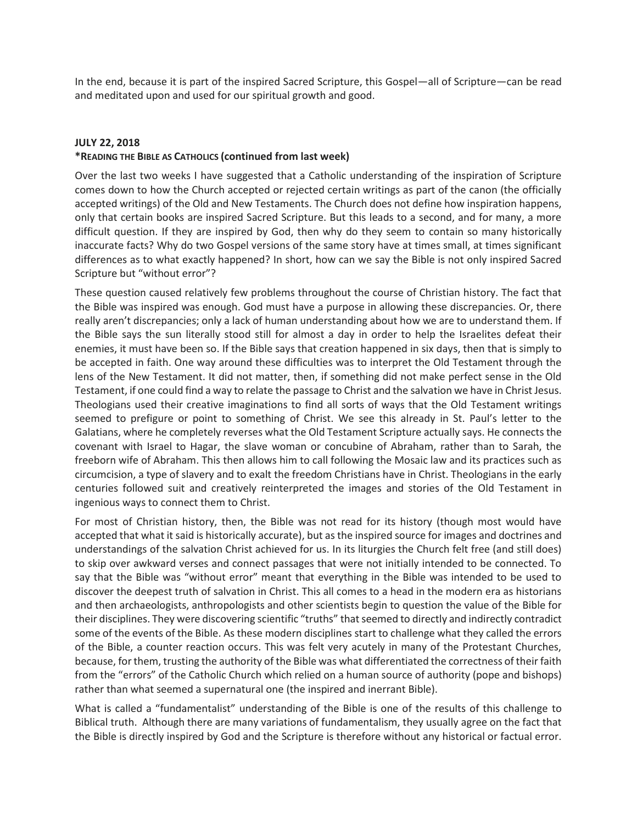In the end, because it is part of the inspired Sacred Scripture, this Gospel—all of Scripture—can be read and meditated upon and used for our spiritual growth and good.

## **JULY 22, 2018**

#### **\*READING THE BIBLE AS CATHOLICS (continued from last week)**

Over the last two weeks I have suggested that a Catholic understanding of the inspiration of Scripture comes down to how the Church accepted or rejected certain writings as part of the canon (the officially accepted writings) of the Old and New Testaments. The Church does not define how inspiration happens, only that certain books are inspired Sacred Scripture. But this leads to a second, and for many, a more difficult question. If they are inspired by God, then why do they seem to contain so many historically inaccurate facts? Why do two Gospel versions of the same story have at times small, at times significant differences as to what exactly happened? In short, how can we say the Bible is not only inspired Sacred Scripture but "without error"?

These question caused relatively few problems throughout the course of Christian history. The fact that the Bible was inspired was enough. God must have a purpose in allowing these discrepancies. Or, there really aren't discrepancies; only a lack of human understanding about how we are to understand them. If the Bible says the sun literally stood still for almost a day in order to help the Israelites defeat their enemies, it must have been so. If the Bible says that creation happened in six days, then that is simply to be accepted in faith. One way around these difficulties was to interpret the Old Testament through the lens of the New Testament. It did not matter, then, if something did not make perfect sense in the Old Testament, if one could find a way to relate the passage to Christ and the salvation we have in Christ Jesus. Theologians used their creative imaginations to find all sorts of ways that the Old Testament writings seemed to prefigure or point to something of Christ. We see this already in St. Paul's letter to the Galatians, where he completely reverses what the Old Testament Scripture actually says. He connects the covenant with Israel to Hagar, the slave woman or concubine of Abraham, rather than to Sarah, the freeborn wife of Abraham. This then allows him to call following the Mosaic law and its practices such as circumcision, a type of slavery and to exalt the freedom Christians have in Christ. Theologians in the early centuries followed suit and creatively reinterpreted the images and stories of the Old Testament in ingenious ways to connect them to Christ.

For most of Christian history, then, the Bible was not read for its history (though most would have accepted that what it said is historically accurate), but as the inspired source for images and doctrines and understandings of the salvation Christ achieved for us. In its liturgies the Church felt free (and still does) to skip over awkward verses and connect passages that were not initially intended to be connected. To say that the Bible was "without error" meant that everything in the Bible was intended to be used to discover the deepest truth of salvation in Christ. This all comes to a head in the modern era as historians and then archaeologists, anthropologists and other scientists begin to question the value of the Bible for their disciplines. They were discovering scientific "truths" that seemed to directly and indirectly contradict some of the events of the Bible. As these modern disciplines start to challenge what they called the errors of the Bible, a counter reaction occurs. This was felt very acutely in many of the Protestant Churches, because, for them, trusting the authority of the Bible was what differentiated the correctness of their faith from the "errors" of the Catholic Church which relied on a human source of authority (pope and bishops) rather than what seemed a supernatural one (the inspired and inerrant Bible).

What is called a "fundamentalist" understanding of the Bible is one of the results of this challenge to Biblical truth. Although there are many variations of fundamentalism, they usually agree on the fact that the Bible is directly inspired by God and the Scripture is therefore without any historical or factual error.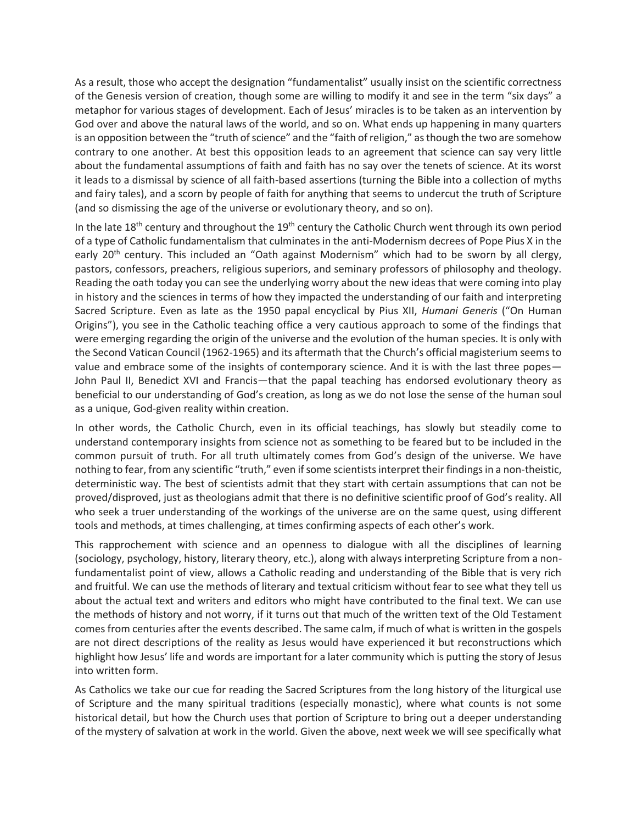As a result, those who accept the designation "fundamentalist" usually insist on the scientific correctness of the Genesis version of creation, though some are willing to modify it and see in the term "six days" a metaphor for various stages of development. Each of Jesus' miracles is to be taken as an intervention by God over and above the natural laws of the world, and so on. What ends up happening in many quarters is an opposition between the "truth of science" and the "faith of religion," as though the two are somehow contrary to one another. At best this opposition leads to an agreement that science can say very little about the fundamental assumptions of faith and faith has no say over the tenets of science. At its worst it leads to a dismissal by science of all faith-based assertions (turning the Bible into a collection of myths and fairy tales), and a scorn by people of faith for anything that seems to undercut the truth of Scripture (and so dismissing the age of the universe or evolutionary theory, and so on).

In the late 18<sup>th</sup> century and throughout the 19<sup>th</sup> century the Catholic Church went through its own period of a type of Catholic fundamentalism that culminates in the anti-Modernism decrees of Pope Pius X in the early 20<sup>th</sup> century. This included an "Oath against Modernism" which had to be sworn by all clergy, pastors, confessors, preachers, religious superiors, and seminary professors of philosophy and theology. Reading the oath today you can see the underlying worry about the new ideas that were coming into play in history and the sciences in terms of how they impacted the understanding of our faith and interpreting Sacred Scripture. Even as late as the 1950 papal encyclical by Pius XII, *Humani Generis* ("On Human Origins"), you see in the Catholic teaching office a very cautious approach to some of the findings that were emerging regarding the origin of the universe and the evolution of the human species. It is only with the Second Vatican Council (1962-1965) and its aftermath that the Church's official magisterium seems to value and embrace some of the insights of contemporary science. And it is with the last three popes— John Paul II, Benedict XVI and Francis—that the papal teaching has endorsed evolutionary theory as beneficial to our understanding of God's creation, as long as we do not lose the sense of the human soul as a unique, God-given reality within creation.

In other words, the Catholic Church, even in its official teachings, has slowly but steadily come to understand contemporary insights from science not as something to be feared but to be included in the common pursuit of truth. For all truth ultimately comes from God's design of the universe. We have nothing to fear, from any scientific "truth," even if some scientists interpret their findings in a non-theistic, deterministic way. The best of scientists admit that they start with certain assumptions that can not be proved/disproved, just as theologians admit that there is no definitive scientific proof of God's reality. All who seek a truer understanding of the workings of the universe are on the same quest, using different tools and methods, at times challenging, at times confirming aspects of each other's work.

This rapprochement with science and an openness to dialogue with all the disciplines of learning (sociology, psychology, history, literary theory, etc.), along with always interpreting Scripture from a nonfundamentalist point of view, allows a Catholic reading and understanding of the Bible that is very rich and fruitful. We can use the methods of literary and textual criticism without fear to see what they tell us about the actual text and writers and editors who might have contributed to the final text. We can use the methods of history and not worry, if it turns out that much of the written text of the Old Testament comes from centuries after the events described. The same calm, if much of what is written in the gospels are not direct descriptions of the reality as Jesus would have experienced it but reconstructions which highlight how Jesus' life and words are important for a later community which is putting the story of Jesus into written form.

As Catholics we take our cue for reading the Sacred Scriptures from the long history of the liturgical use of Scripture and the many spiritual traditions (especially monastic), where what counts is not some historical detail, but how the Church uses that portion of Scripture to bring out a deeper understanding of the mystery of salvation at work in the world. Given the above, next week we will see specifically what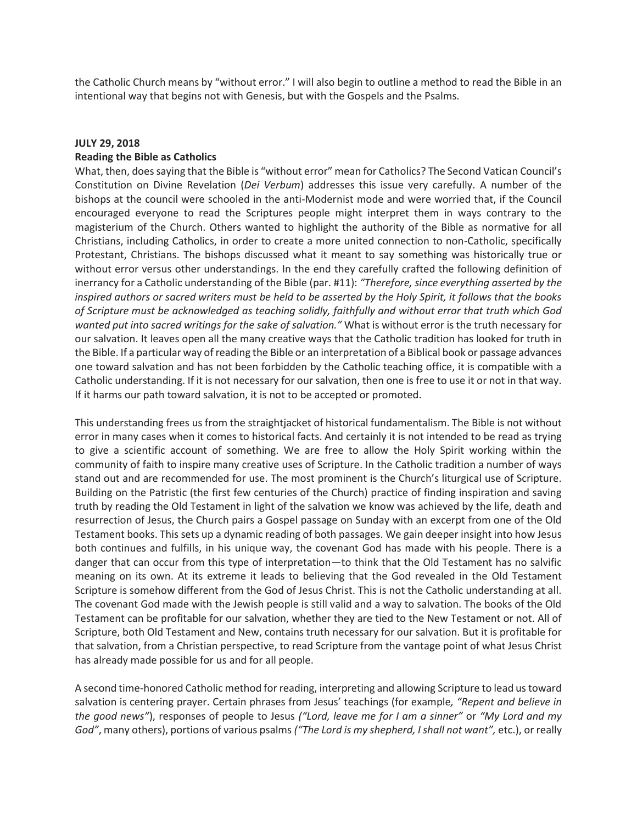the Catholic Church means by "without error." I will also begin to outline a method to read the Bible in an intentional way that begins not with Genesis, but with the Gospels and the Psalms.

#### **JULY 29, 2018**

#### **Reading the Bible as Catholics**

What, then, does saying that the Bible is "without error" mean for Catholics? The Second Vatican Council's Constitution on Divine Revelation (*Dei Verbum*) addresses this issue very carefully. A number of the bishops at the council were schooled in the anti-Modernist mode and were worried that, if the Council encouraged everyone to read the Scriptures people might interpret them in ways contrary to the magisterium of the Church. Others wanted to highlight the authority of the Bible as normative for all Christians, including Catholics, in order to create a more united connection to non-Catholic, specifically Protestant, Christians. The bishops discussed what it meant to say something was historically true or without error versus other understandings. In the end they carefully crafted the following definition of inerrancy for a Catholic understanding of the Bible (par. #11): *"Therefore, since everything asserted by the inspired authors or sacred writers must be held to be asserted by the Holy Spirit, it follows that the books of Scripture must be acknowledged as teaching solidly, faithfully and without error that truth which God wanted put into sacred writings for the sake of salvation."* What is without error is the truth necessary for our salvation. It leaves open all the many creative ways that the Catholic tradition has looked for truth in the Bible. If a particular way of reading the Bible or an interpretation of a Biblical book or passage advances one toward salvation and has not been forbidden by the Catholic teaching office, it is compatible with a Catholic understanding. If it is not necessary for our salvation, then one is free to use it or not in that way. If it harms our path toward salvation, it is not to be accepted or promoted.

This understanding frees us from the straightjacket of historical fundamentalism. The Bible is not without error in many cases when it comes to historical facts. And certainly it is not intended to be read as trying to give a scientific account of something. We are free to allow the Holy Spirit working within the community of faith to inspire many creative uses of Scripture. In the Catholic tradition a number of ways stand out and are recommended for use. The most prominent is the Church's liturgical use of Scripture. Building on the Patristic (the first few centuries of the Church) practice of finding inspiration and saving truth by reading the Old Testament in light of the salvation we know was achieved by the life, death and resurrection of Jesus, the Church pairs a Gospel passage on Sunday with an excerpt from one of the Old Testament books. This sets up a dynamic reading of both passages. We gain deeper insight into how Jesus both continues and fulfills, in his unique way, the covenant God has made with his people. There is a danger that can occur from this type of interpretation—to think that the Old Testament has no salvific meaning on its own. At its extreme it leads to believing that the God revealed in the Old Testament Scripture is somehow different from the God of Jesus Christ. This is not the Catholic understanding at all. The covenant God made with the Jewish people is still valid and a way to salvation. The books of the Old Testament can be profitable for our salvation, whether they are tied to the New Testament or not. All of Scripture, both Old Testament and New, contains truth necessary for our salvation. But it is profitable for that salvation, from a Christian perspective, to read Scripture from the vantage point of what Jesus Christ has already made possible for us and for all people.

A second time-honored Catholic method for reading, interpreting and allowing Scripture to lead us toward salvation is centering prayer. Certain phrases from Jesus' teachings (for example*, "Repent and believe in the good news"*), responses of people to Jesus *("Lord, leave me for I am a sinner"* or *"My Lord and my God"*, many others), portions of various psalms *("The Lord is my shepherd, I shall not want",* etc.), or really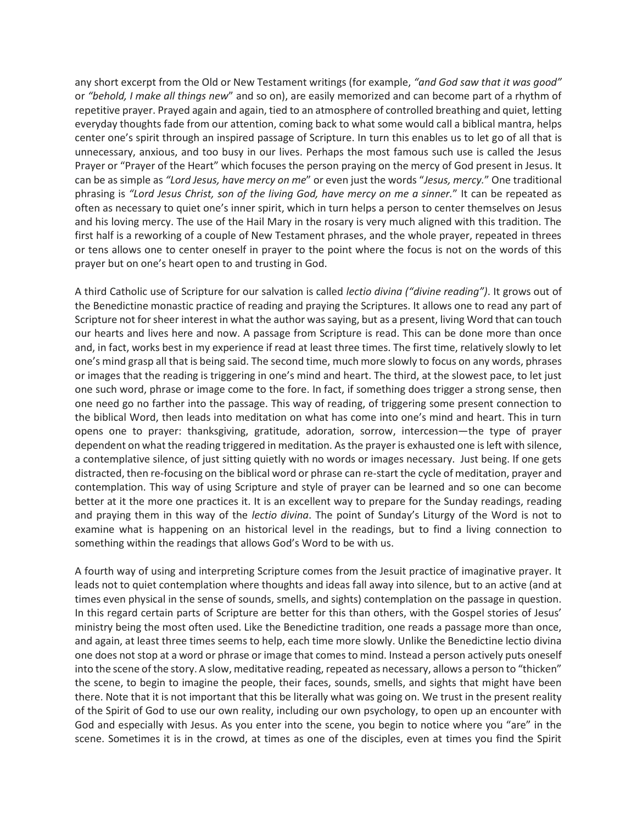any short excerpt from the Old or New Testament writings (for example, *"and God saw that it was good"* or *"behold, I make all things new*" and so on), are easily memorized and can become part of a rhythm of repetitive prayer. Prayed again and again, tied to an atmosphere of controlled breathing and quiet, letting everyday thoughts fade from our attention, coming back to what some would call a biblical mantra, helps center one's spirit through an inspired passage of Scripture. In turn this enables us to let go of all that is unnecessary, anxious, and too busy in our lives. Perhaps the most famous such use is called the Jesus Prayer or "Prayer of the Heart" which focuses the person praying on the mercy of God present in Jesus. It can be as simple as *"Lord Jesus, have mercy on me*" or even just the words "*Jesus, mercy.*" One traditional phrasing is *"Lord Jesus Christ, son of the living God, have mercy on me a sinner.*" It can be repeated as often as necessary to quiet one's inner spirit, which in turn helps a person to center themselves on Jesus and his loving mercy. The use of the Hail Mary in the rosary is very much aligned with this tradition. The first half is a reworking of a couple of New Testament phrases, and the whole prayer, repeated in threes or tens allows one to center oneself in prayer to the point where the focus is not on the words of this prayer but on one's heart open to and trusting in God.

A third Catholic use of Scripture for our salvation is called *lectio divina ("divine reading")*. It grows out of the Benedictine monastic practice of reading and praying the Scriptures. It allows one to read any part of Scripture not for sheer interest in what the author was saying, but as a present, living Word that can touch our hearts and lives here and now. A passage from Scripture is read. This can be done more than once and, in fact, works best in my experience if read at least three times. The first time, relatively slowly to let one's mind grasp all that is being said. The second time, much more slowly to focus on any words, phrases or images that the reading is triggering in one's mind and heart. The third, at the slowest pace, to let just one such word, phrase or image come to the fore. In fact, if something does trigger a strong sense, then one need go no farther into the passage. This way of reading, of triggering some present connection to the biblical Word, then leads into meditation on what has come into one's mind and heart. This in turn opens one to prayer: thanksgiving, gratitude, adoration, sorrow, intercession—the type of prayer dependent on what the reading triggered in meditation. As the prayer is exhausted one is left with silence, a contemplative silence, of just sitting quietly with no words or images necessary. Just being. If one gets distracted, then re-focusing on the biblical word or phrase can re-start the cycle of meditation, prayer and contemplation. This way of using Scripture and style of prayer can be learned and so one can become better at it the more one practices it. It is an excellent way to prepare for the Sunday readings, reading and praying them in this way of the *lectio divina*. The point of Sunday's Liturgy of the Word is not to examine what is happening on an historical level in the readings, but to find a living connection to something within the readings that allows God's Word to be with us.

A fourth way of using and interpreting Scripture comes from the Jesuit practice of imaginative prayer. It leads not to quiet contemplation where thoughts and ideas fall away into silence, but to an active (and at times even physical in the sense of sounds, smells, and sights) contemplation on the passage in question. In this regard certain parts of Scripture are better for this than others, with the Gospel stories of Jesus' ministry being the most often used. Like the Benedictine tradition, one reads a passage more than once, and again, at least three times seems to help, each time more slowly. Unlike the Benedictine lectio divina one does not stop at a word or phrase or image that comes to mind. Instead a person actively puts oneself into the scene of the story. A slow, meditative reading, repeated as necessary, allows a person to "thicken" the scene, to begin to imagine the people, their faces, sounds, smells, and sights that might have been there. Note that it is not important that this be literally what was going on. We trust in the present reality of the Spirit of God to use our own reality, including our own psychology, to open up an encounter with God and especially with Jesus. As you enter into the scene, you begin to notice where you "are" in the scene. Sometimes it is in the crowd, at times as one of the disciples, even at times you find the Spirit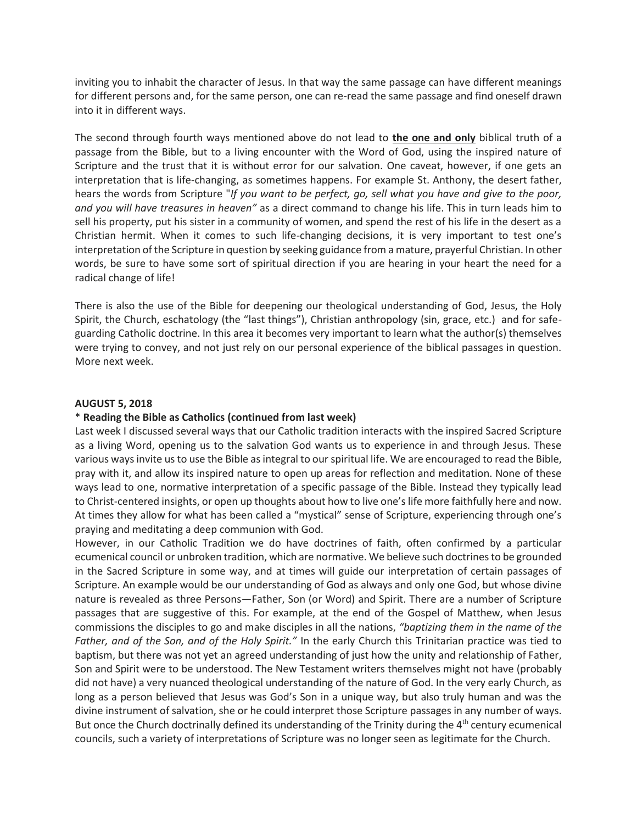inviting you to inhabit the character of Jesus. In that way the same passage can have different meanings for different persons and, for the same person, one can re-read the same passage and find oneself drawn into it in different ways.

The second through fourth ways mentioned above do not lead to **the one and only** biblical truth of a passage from the Bible, but to a living encounter with the Word of God, using the inspired nature of Scripture and the trust that it is without error for our salvation. One caveat, however, if one gets an interpretation that is life-changing, as sometimes happens. For example St. Anthony, the desert father, hears the words from Scripture "*If you want to be perfect, go, sell what you have and give to the poor, and you will have treasures in heaven"* as a direct command to change his life. This in turn leads him to sell his property, put his sister in a community of women, and spend the rest of his life in the desert as a Christian hermit. When it comes to such life-changing decisions, it is very important to test one's interpretation of the Scripture in question by seeking guidance from a mature, prayerful Christian. In other words, be sure to have some sort of spiritual direction if you are hearing in your heart the need for a radical change of life!

There is also the use of the Bible for deepening our theological understanding of God, Jesus, the Holy Spirit, the Church, eschatology (the "last things"), Christian anthropology (sin, grace, etc.) and for safeguarding Catholic doctrine. In this area it becomes very important to learn what the author(s) themselves were trying to convey, and not just rely on our personal experience of the biblical passages in question. More next week.

#### **AUGUST 5, 2018**

### \* **Reading the Bible as Catholics (continued from last week)**

Last week I discussed several ways that our Catholic tradition interacts with the inspired Sacred Scripture as a living Word, opening us to the salvation God wants us to experience in and through Jesus. These various ways invite us to use the Bible as integral to our spiritual life. We are encouraged to read the Bible, pray with it, and allow its inspired nature to open up areas for reflection and meditation. None of these ways lead to one, normative interpretation of a specific passage of the Bible. Instead they typically lead to Christ-centered insights, or open up thoughts about how to live one's life more faithfully here and now. At times they allow for what has been called a "mystical" sense of Scripture, experiencing through one's praying and meditating a deep communion with God.

However, in our Catholic Tradition we do have doctrines of faith, often confirmed by a particular ecumenical council or unbroken tradition, which are normative. We believe such doctrines to be grounded in the Sacred Scripture in some way, and at times will guide our interpretation of certain passages of Scripture. An example would be our understanding of God as always and only one God, but whose divine nature is revealed as three Persons—Father, Son (or Word) and Spirit. There are a number of Scripture passages that are suggestive of this. For example, at the end of the Gospel of Matthew, when Jesus commissions the disciples to go and make disciples in all the nations, *"baptizing them in the name of the Father, and of the Son, and of the Holy Spirit."* In the early Church this Trinitarian practice was tied to baptism, but there was not yet an agreed understanding of just how the unity and relationship of Father, Son and Spirit were to be understood. The New Testament writers themselves might not have (probably did not have) a very nuanced theological understanding of the nature of God. In the very early Church, as long as a person believed that Jesus was God's Son in a unique way, but also truly human and was the divine instrument of salvation, she or he could interpret those Scripture passages in any number of ways. But once the Church doctrinally defined its understanding of the Trinity during the  $4<sup>th</sup>$  century ecumenical councils, such a variety of interpretations of Scripture was no longer seen as legitimate for the Church.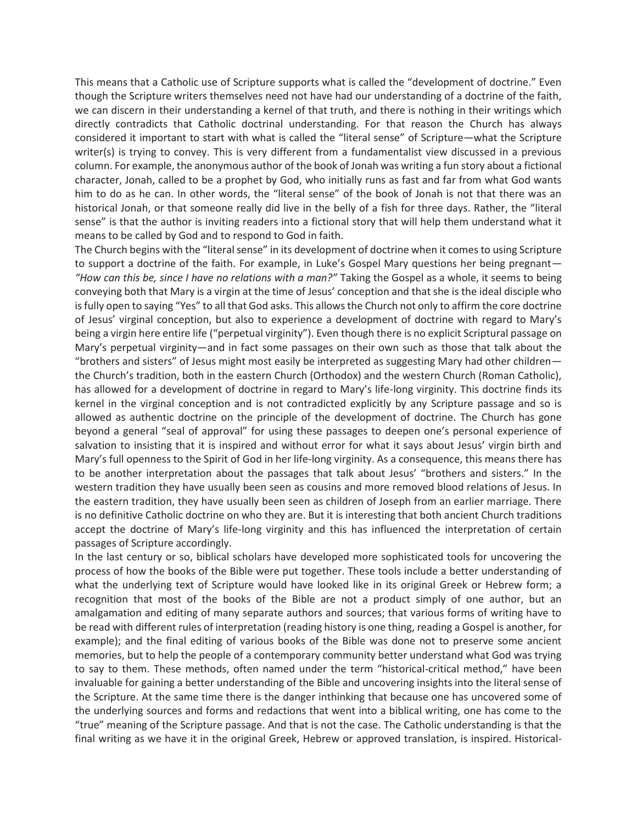This means that a Catholic use of Scripture supports what is called the "development of doctrine." Even though the Scripture writers themselves need not have had our understanding of a doctrine of the faith, we can discern in their understanding a kernel of that truth, and there is nothing in their writings which directly contradicts that Catholic doctrinal understanding. For that reason the Church has always considered it important to start with what is called the "literal sense" of Scripture—what the Scripture writer(s) is trying to convey. This is very different from a fundamentalist view discussed in a previous column. For example, the anonymous author of the book of Jonah was writing a fun story about a fictional character, Jonah, called to be a prophet by God, who initially runs as fast and far from what God wants him to do as he can. In other words, the "literal sense" of the book of Jonah is not that there was an historical Jonah, or that someone really did live in the belly of a fish for three days. Rather, the "literal sense" is that the author is inviting readers into a fictional story that will help them understand what it means to be called by God and to respond to God in faith.

The Church begins with the "literal sense" in its development of doctrine when it comes to using Scripture to support a doctrine of the faith. For example, in Luke's Gospel Mary questions her being pregnant*— "How can this be, since I have no relations with a man?"* Taking the Gospel as a whole, it seems to being conveying both that Mary is a virgin at the time of Jesus' conception and that she is the ideal disciple who is fully open to saying "Yes" to all that God asks. This allows the Church not only to affirm the core doctrine of Jesus' virginal conception, but also to experience a development of doctrine with regard to Mary's being a virgin here entire life ("perpetual virginity"). Even though there is no explicit Scriptural passage on Mary's perpetual virginity—and in fact some passages on their own such as those that talk about the "brothers and sisters" of Jesus might most easily be interpreted as suggesting Mary had other children the Church's tradition, both in the eastern Church (Orthodox) and the western Church (Roman Catholic), has allowed for a development of doctrine in regard to Mary's life-long virginity. This doctrine finds its kernel in the virginal conception and is not contradicted explicitly by any Scripture passage and so is allowed as authentic doctrine on the principle of the development of doctrine. The Church has gone beyond a general "seal of approval" for using these passages to deepen one's personal experience of salvation to insisting that it is inspired and without error for what it says about Jesus' virgin birth and Mary's full openness to the Spirit of God in her life-long virginity. As a consequence, this means there has to be another interpretation about the passages that talk about Jesus' "brothers and sisters." In the western tradition they have usually been seen as cousins and more removed blood relations of Jesus. In the eastern tradition, they have usually been seen as children of Joseph from an earlier marriage. There is no definitive Catholic doctrine on who they are. But it is interesting that both ancient Church traditions accept the doctrine of Mary's life-long virginity and this has influenced the interpretation of certain passages of Scripture accordingly.

In the last century or so, biblical scholars have developed more sophisticated tools for uncovering the process of how the books of the Bible were put together. These tools include a better understanding of what the underlying text of Scripture would have looked like in its original Greek or Hebrew form; a recognition that most of the books of the Bible are not a product simply of one author, but an amalgamation and editing of many separate authors and sources; that various forms of writing have to be read with different rules of interpretation (reading history is one thing, reading a Gospel is another, for example); and the final editing of various books of the Bible was done not to preserve some ancient memories, but to help the people of a contemporary community better understand what God was trying to say to them. These methods, often named under the term "historical-critical method," have been invaluable for gaining a better understanding of the Bible and uncovering insights into the literal sense of the Scripture. At the same time there is the danger inthinking that because one has uncovered some of the underlying sources and forms and redactions that went into a biblical writing, one has come to the "true" meaning of the Scripture passage. And that is not the case. The Catholic understanding is that the final writing as we have it in the original Greek, Hebrew or approved translation, is inspired. Historical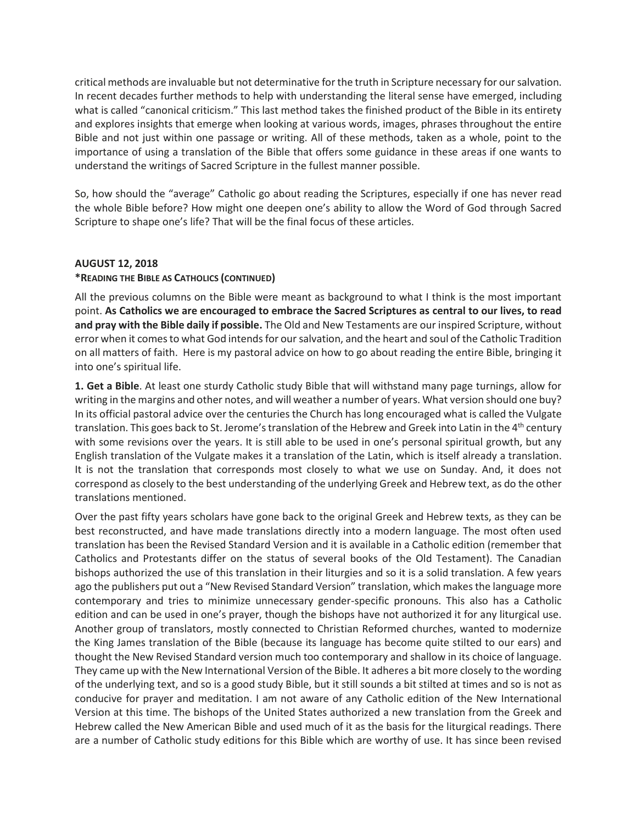critical methods are invaluable but not determinative for the truth in Scripture necessary for our salvation. In recent decades further methods to help with understanding the literal sense have emerged, including what is called "canonical criticism." This last method takes the finished product of the Bible in its entirety and explores insights that emerge when looking at various words, images, phrases throughout the entire Bible and not just within one passage or writing. All of these methods, taken as a whole, point to the importance of using a translation of the Bible that offers some guidance in these areas if one wants to understand the writings of Sacred Scripture in the fullest manner possible.

So, how should the "average" Catholic go about reading the Scriptures, especially if one has never read the whole Bible before? How might one deepen one's ability to allow the Word of God through Sacred Scripture to shape one's life? That will be the final focus of these articles.

## **AUGUST 12, 2018**

## **\*READING THE BIBLE AS CATHOLICS (CONTINUED)**

All the previous columns on the Bible were meant as background to what I think is the most important point. **As Catholics we are encouraged to embrace the Sacred Scriptures as central to our lives, to read and pray with the Bible daily if possible.** The Old and New Testaments are our inspired Scripture, without error when it comes to what God intends for our salvation, and the heart and soul of the Catholic Tradition on all matters of faith. Here is my pastoral advice on how to go about reading the entire Bible, bringing it into one's spiritual life.

**1. Get a Bible**. At least one sturdy Catholic study Bible that will withstand many page turnings, allow for writing in the margins and other notes, and will weather a number of years. What version should one buy? In its official pastoral advice over the centuries the Church has long encouraged what is called the Vulgate translation. This goes back to St. Jerome's translation of the Hebrew and Greek into Latin in the 4<sup>th</sup> century with some revisions over the years. It is still able to be used in one's personal spiritual growth, but any English translation of the Vulgate makes it a translation of the Latin, which is itself already a translation. It is not the translation that corresponds most closely to what we use on Sunday. And, it does not correspond as closely to the best understanding of the underlying Greek and Hebrew text, as do the other translations mentioned.

Over the past fifty years scholars have gone back to the original Greek and Hebrew texts, as they can be best reconstructed, and have made translations directly into a modern language. The most often used translation has been the Revised Standard Version and it is available in a Catholic edition (remember that Catholics and Protestants differ on the status of several books of the Old Testament). The Canadian bishops authorized the use of this translation in their liturgies and so it is a solid translation. A few years ago the publishers put out a "New Revised Standard Version" translation, which makes the language more contemporary and tries to minimize unnecessary gender-specific pronouns. This also has a Catholic edition and can be used in one's prayer, though the bishops have not authorized it for any liturgical use. Another group of translators, mostly connected to Christian Reformed churches, wanted to modernize the King James translation of the Bible (because its language has become quite stilted to our ears) and thought the New Revised Standard version much too contemporary and shallow in its choice of language. They came up with the New International Version of the Bible. It adheres a bit more closely to the wording of the underlying text, and so is a good study Bible, but it still sounds a bit stilted at times and so is not as conducive for prayer and meditation. I am not aware of any Catholic edition of the New International Version at this time. The bishops of the United States authorized a new translation from the Greek and Hebrew called the New American Bible and used much of it as the basis for the liturgical readings. There are a number of Catholic study editions for this Bible which are worthy of use. It has since been revised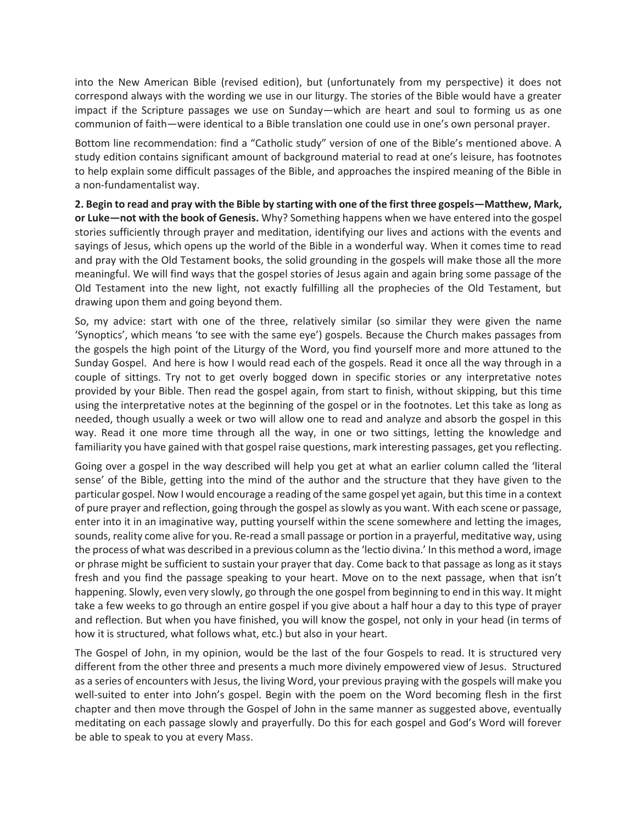into the New American Bible (revised edition), but (unfortunately from my perspective) it does not correspond always with the wording we use in our liturgy. The stories of the Bible would have a greater impact if the Scripture passages we use on Sunday—which are heart and soul to forming us as one communion of faith—were identical to a Bible translation one could use in one's own personal prayer.

Bottom line recommendation: find a "Catholic study" version of one of the Bible's mentioned above. A study edition contains significant amount of background material to read at one's leisure, has footnotes to help explain some difficult passages of the Bible, and approaches the inspired meaning of the Bible in a non-fundamentalist way.

**2. Begin to read and pray with the Bible by starting with one of the first three gospels—Matthew, Mark, or Luke—not with the book of Genesis.** Why? Something happens when we have entered into the gospel stories sufficiently through prayer and meditation, identifying our lives and actions with the events and sayings of Jesus, which opens up the world of the Bible in a wonderful way. When it comes time to read and pray with the Old Testament books, the solid grounding in the gospels will make those all the more meaningful. We will find ways that the gospel stories of Jesus again and again bring some passage of the Old Testament into the new light, not exactly fulfilling all the prophecies of the Old Testament, but drawing upon them and going beyond them.

So, my advice: start with one of the three, relatively similar (so similar they were given the name 'Synoptics', which means 'to see with the same eye') gospels. Because the Church makes passages from the gospels the high point of the Liturgy of the Word, you find yourself more and more attuned to the Sunday Gospel. And here is how I would read each of the gospels. Read it once all the way through in a couple of sittings. Try not to get overly bogged down in specific stories or any interpretative notes provided by your Bible. Then read the gospel again, from start to finish, without skipping, but this time using the interpretative notes at the beginning of the gospel or in the footnotes. Let this take as long as needed, though usually a week or two will allow one to read and analyze and absorb the gospel in this way. Read it one more time through all the way, in one or two sittings, letting the knowledge and familiarity you have gained with that gospel raise questions, mark interesting passages, get you reflecting.

Going over a gospel in the way described will help you get at what an earlier column called the 'literal sense' of the Bible, getting into the mind of the author and the structure that they have given to the particular gospel. Now I would encourage a reading of the same gospel yet again, but this time in a context of pure prayer and reflection, going through the gospel as slowly as you want. With each scene or passage, enter into it in an imaginative way, putting yourself within the scene somewhere and letting the images, sounds, reality come alive for you. Re-read a small passage or portion in a prayerful, meditative way, using the process of what was described in a previous column as the 'lectio divina.' In this method a word, image or phrase might be sufficient to sustain your prayer that day. Come back to that passage as long as it stays fresh and you find the passage speaking to your heart. Move on to the next passage, when that isn't happening. Slowly, even very slowly, go through the one gospel from beginning to end in this way. It might take a few weeks to go through an entire gospel if you give about a half hour a day to this type of prayer and reflection. But when you have finished, you will know the gospel, not only in your head (in terms of how it is structured, what follows what, etc.) but also in your heart.

The Gospel of John, in my opinion, would be the last of the four Gospels to read. It is structured very different from the other three and presents a much more divinely empowered view of Jesus. Structured as a series of encounters with Jesus, the living Word, your previous praying with the gospels will make you well-suited to enter into John's gospel. Begin with the poem on the Word becoming flesh in the first chapter and then move through the Gospel of John in the same manner as suggested above, eventually meditating on each passage slowly and prayerfully. Do this for each gospel and God's Word will forever be able to speak to you at every Mass.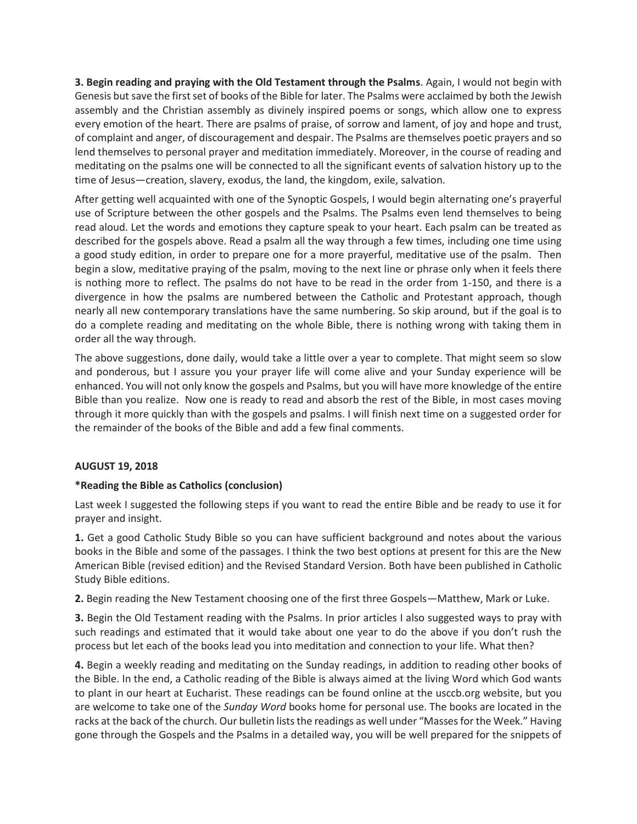**3. Begin reading and praying with the Old Testament through the Psalms**. Again, I would not begin with Genesis but save the first set of books of the Bible for later. The Psalms were acclaimed by both the Jewish assembly and the Christian assembly as divinely inspired poems or songs, which allow one to express every emotion of the heart. There are psalms of praise, of sorrow and lament, of joy and hope and trust, of complaint and anger, of discouragement and despair. The Psalms are themselves poetic prayers and so lend themselves to personal prayer and meditation immediately. Moreover, in the course of reading and meditating on the psalms one will be connected to all the significant events of salvation history up to the time of Jesus—creation, slavery, exodus, the land, the kingdom, exile, salvation.

After getting well acquainted with one of the Synoptic Gospels, I would begin alternating one's prayerful use of Scripture between the other gospels and the Psalms. The Psalms even lend themselves to being read aloud. Let the words and emotions they capture speak to your heart. Each psalm can be treated as described for the gospels above. Read a psalm all the way through a few times, including one time using a good study edition, in order to prepare one for a more prayerful, meditative use of the psalm. Then begin a slow, meditative praying of the psalm, moving to the next line or phrase only when it feels there is nothing more to reflect. The psalms do not have to be read in the order from 1-150, and there is a divergence in how the psalms are numbered between the Catholic and Protestant approach, though nearly all new contemporary translations have the same numbering. So skip around, but if the goal is to do a complete reading and meditating on the whole Bible, there is nothing wrong with taking them in order all the way through.

The above suggestions, done daily, would take a little over a year to complete. That might seem so slow and ponderous, but I assure you your prayer life will come alive and your Sunday experience will be enhanced. You will not only know the gospels and Psalms, but you will have more knowledge of the entire Bible than you realize. Now one is ready to read and absorb the rest of the Bible, in most cases moving through it more quickly than with the gospels and psalms. I will finish next time on a suggested order for the remainder of the books of the Bible and add a few final comments.

## **AUGUST 19, 2018**

# **\*Reading the Bible as Catholics (conclusion)**

Last week I suggested the following steps if you want to read the entire Bible and be ready to use it for prayer and insight.

**1.** Get a good Catholic Study Bible so you can have sufficient background and notes about the various books in the Bible and some of the passages. I think the two best options at present for this are the New American Bible (revised edition) and the Revised Standard Version. Both have been published in Catholic Study Bible editions.

**2.** Begin reading the New Testament choosing one of the first three Gospels—Matthew, Mark or Luke.

**3.** Begin the Old Testament reading with the Psalms. In prior articles I also suggested ways to pray with such readings and estimated that it would take about one year to do the above if you don't rush the process but let each of the books lead you into meditation and connection to your life. What then?

**4.** Begin a weekly reading and meditating on the Sunday readings, in addition to reading other books of the Bible. In the end, a Catholic reading of the Bible is always aimed at the living Word which God wants to plant in our heart at Eucharist. These readings can be found online at the usccb.org website, but you are welcome to take one of the *Sunday Word* books home for personal use. The books are located in the racks at the back of the church. Our bulletin lists the readings as well under "Masses for the Week." Having gone through the Gospels and the Psalms in a detailed way, you will be well prepared for the snippets of